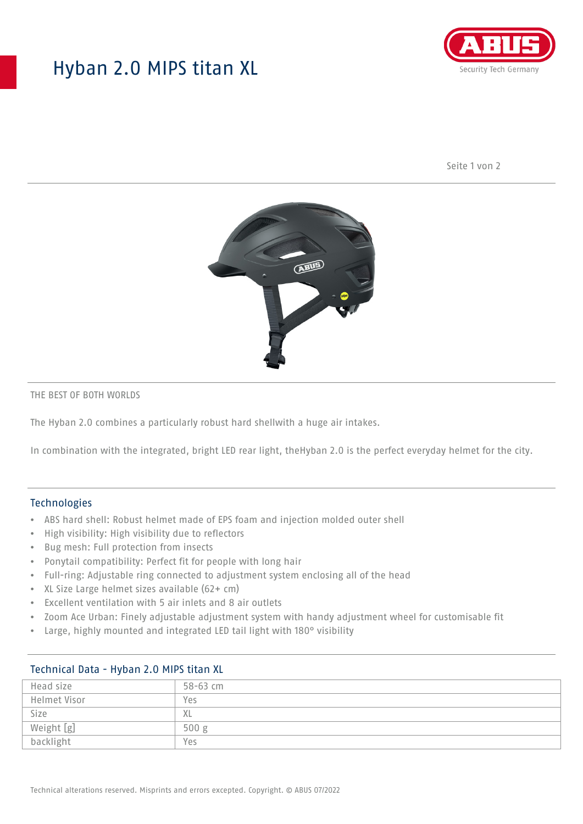## Hyban 2.0 MIPS titan XL



Seite 1 von 2



#### THE BEST OF BOTH WORLDS

The Hyban 2.0 combines a particularly robust hard shellwith a huge air intakes.

In combination with the integrated, bright LED rear light, theHyban 2.0 is the perfect everyday helmet for the city.

#### Technologies

- ABS hard shell: Robust helmet made of EPS foam and injection molded outer shell
- High visibility: High visibility due to reflectors
- Bug mesh: Full protection from insects
- Ponytail compatibility: Perfect fit for people with long hair
- Full-ring: Adjustable ring connected to adjustment system enclosing all of the head
- XL Size Large helmet sizes available (62+ cm)
- Excellent ventilation with 5 air inlets and 8 air outlets
- Zoom Ace Urban: Finely adjustable adjustment system with handy adjustment wheel for customisable fit
- Large, highly mounted and integrated LED tail light with 180° visibility

| <b>ICCITITION DUTE 1190011 2.0</b> PM J GLUIT AL |              |
|--------------------------------------------------|--------------|
| Head size                                        | $58 - 63$ cm |
| Helmet Visor                                     | Yes          |
| Size                                             | XL           |
| Weight [g]                                       | 500 g        |
| backlight                                        | Yes          |

## Technical Data - Hyban 2.0 MIPS titan XL